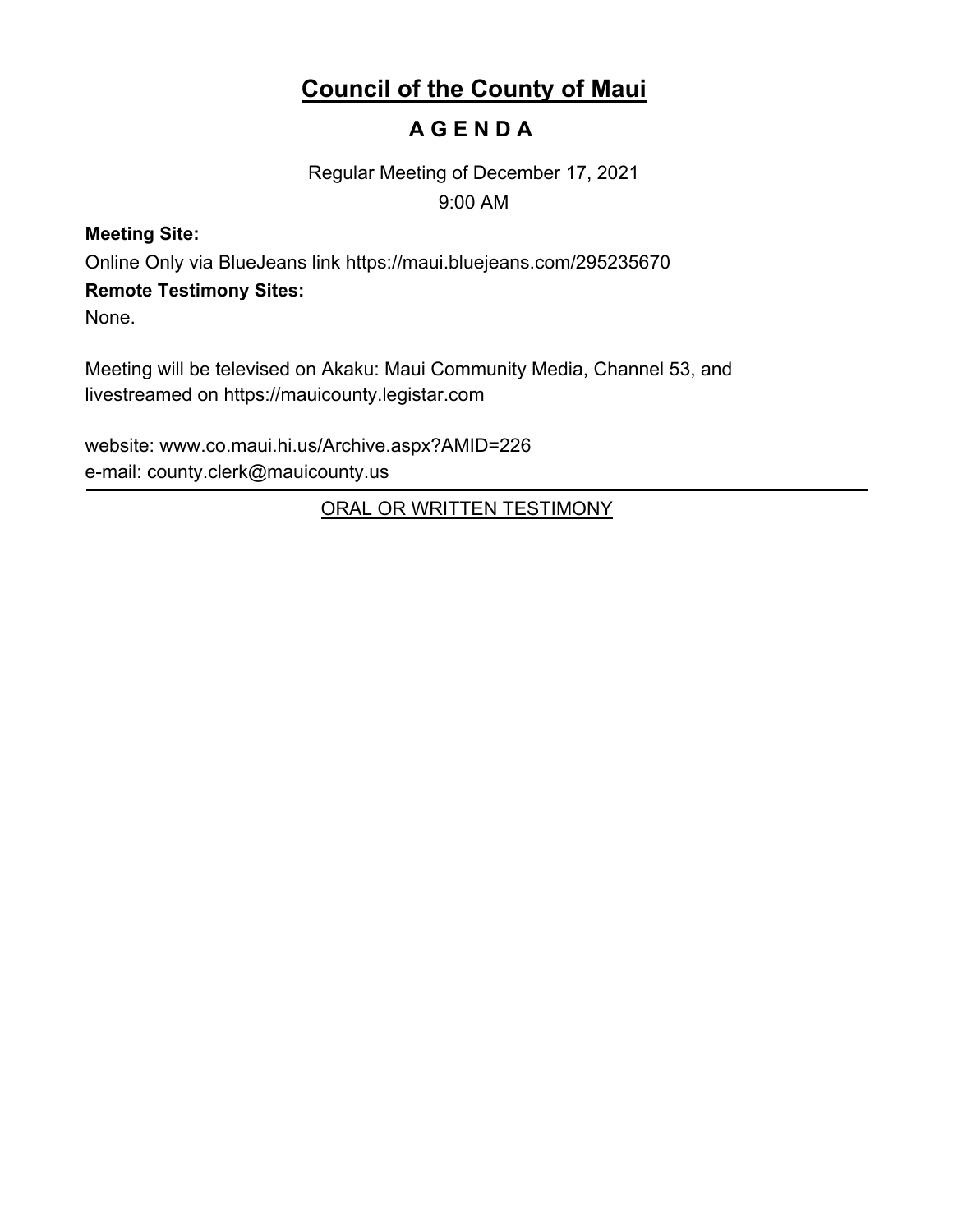# **Council of the County of Maui**

# **A G E N D A**

Regular Meeting of December 17, 2021 9:00 AM

## **Meeting Site:**

Online Only via BlueJeans link https://maui.bluejeans.com/295235670

## **Remote Testimony Sites:**

None.

Meeting will be televised on Akaku: Maui Community Media, Channel 53, and livestreamed on https://mauicounty.legistar.com

website: www.co.maui.hi.us/Archive.aspx?AMID=226 e-mail: county.clerk@mauicounty.us

ORAL OR WRITTEN TESTIMONY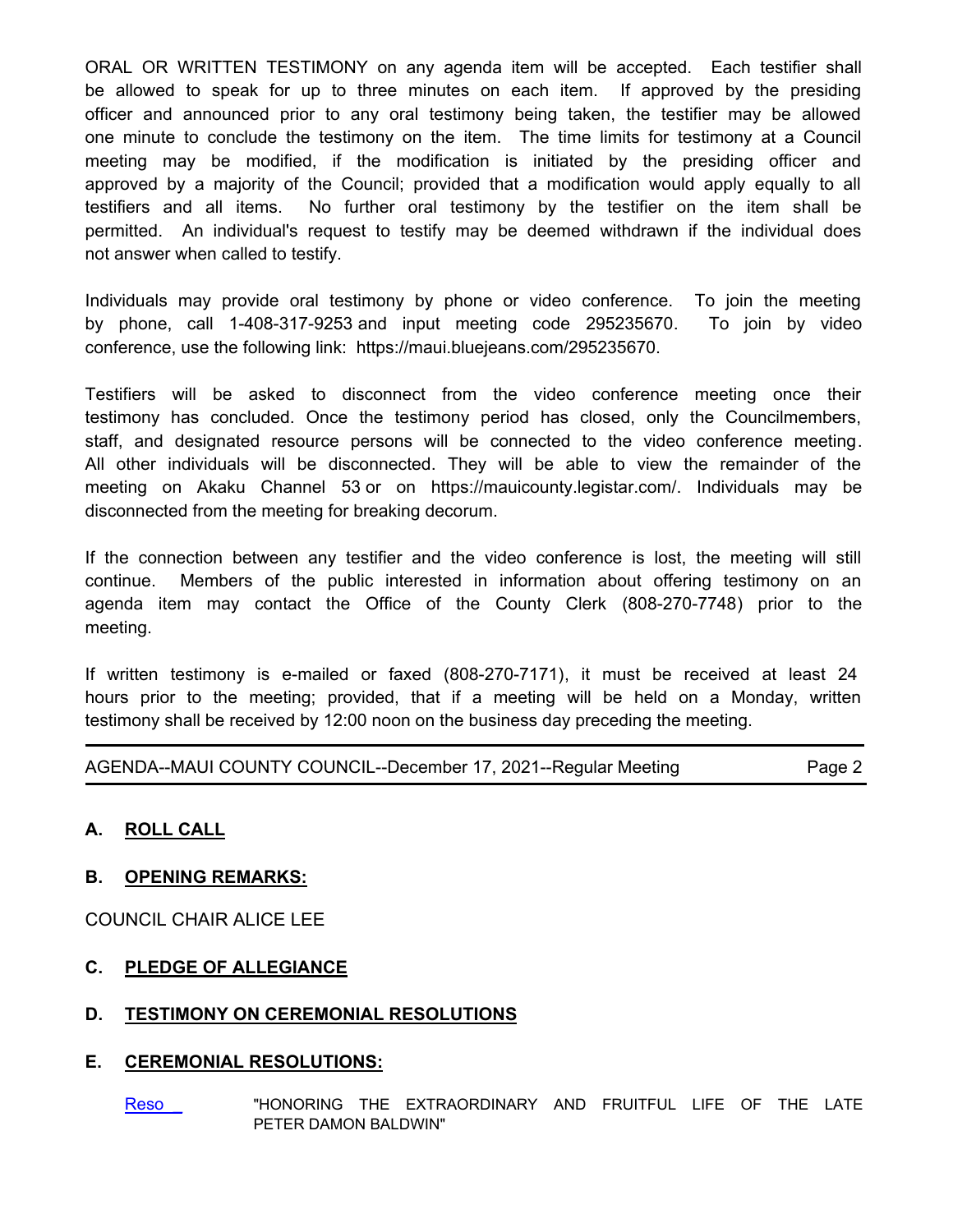ORAL OR WRITTEN TESTIMONY on any agenda item will be accepted. Each testifier shall be allowed to speak for up to three minutes on each item. If approved by the presiding officer and announced prior to any oral testimony being taken, the testifier may be allowed one minute to conclude the testimony on the item. The time limits for testimony at a Council meeting may be modified, if the modification is initiated by the presiding officer and approved by a majority of the Council; provided that a modification would apply equally to all testifiers and all items. No further oral testimony by the testifier on the item shall be permitted. An individual's request to testify may be deemed withdrawn if the individual does not answer when called to testify.

Individuals may provide oral testimony by phone or video conference. To join the meeting by phone, call 1-408-317-9253 and input meeting code 295235670. To join by video conference, use the following link: https://maui.bluejeans.com/295235670.

Testifiers will be asked to disconnect from the video conference meeting once their testimony has concluded. Once the testimony period has closed, only the Councilmembers, staff, and designated resource persons will be connected to the video conference meeting. All other individuals will be disconnected. They will be able to view the remainder of the meeting on Akaku Channel 53 or on https://mauicounty.legistar.com/. Individuals may be disconnected from the meeting for breaking decorum.

If the connection between any testifier and the video conference is lost, the meeting will still continue. Members of the public interested in information about offering testimony on an agenda item may contact the Office of the County Clerk (808-270-7748) prior to the meeting.

If written testimony is e-mailed or faxed (808-270-7171), it must be received at least 24 hours prior to the meeting; provided, that if a meeting will be held on a Monday, written testimony shall be received by 12:00 noon on the business day preceding the meeting.

AGENDA--MAUI COUNTY COUNCIL--December 17, 2021--Regular Meeting Page 2

## **A. ROLL CALL**

#### **B. OPENING REMARKS:**

COUNCIL CHAIR ALICE LEE

## **C. PLEDGE OF ALLEGIANCE**

#### **D. TESTIMONY ON CEREMONIAL RESOLUTIONS**

#### **E. CEREMONIAL RESOLUTIONS:**

Reso "HONORING THE EXTRAORDINARY AND FRUITFUL LIFE OF THE LATE PETER DAMON BALDWIN"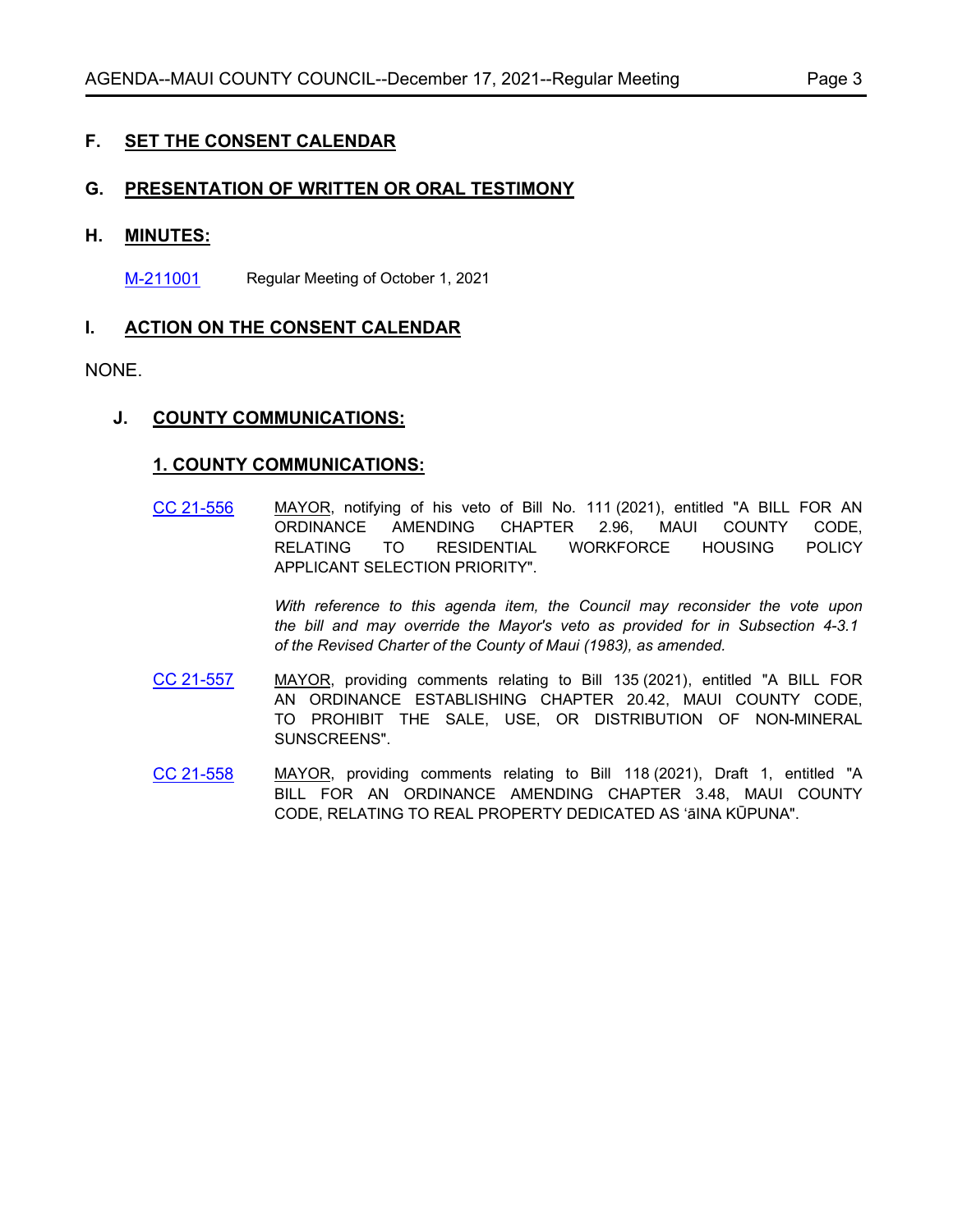## **F. SET THE CONSENT CALENDAR**

#### **G. PRESENTATION OF WRITTEN OR ORAL TESTIMONY**

#### **H. MINUTES:**

[M-211001](http://mauicounty.legistar.com/gateway.aspx?m=l&id=/matter.aspx?key=11731) Regular Meeting of October 1, 2021

#### **I. ACTION ON THE CONSENT CALENDAR**

#### NONE.

#### **J. COUNTY COMMUNICATIONS:**

#### **1. COUNTY COMMUNICATIONS:**

[CC 21-556](http://mauicounty.legistar.com/gateway.aspx?m=l&id=/matter.aspx?key=11728) MAYOR, notifying of his veto of Bill No. 111 (2021), entitled "A BILL FOR AN ORDINANCE AMENDING CHAPTER 2.96, MAUI COUNTY CODE, RELATING TO RESIDENTIAL WORKFORCE HOUSING POLICY APPLICANT SELECTION PRIORITY".

> *With reference to this agenda item, the Council may reconsider the vote upon the bill and may override the Mayor's veto as provided for in Subsection 4-3.1 of the Revised Charter of the County of Maui (1983), as amended.*

- [CC 21-557](http://mauicounty.legistar.com/gateway.aspx?m=l&id=/matter.aspx?key=11736) MAYOR, providing comments relating to Bill 135 (2021), entitled "A BILL FOR AN ORDINANCE ESTABLISHING CHAPTER 20.42, MAUI COUNTY CODE, TO PROHIBIT THE SALE, USE, OR DISTRIBUTION OF NON-MINERAL SUNSCREENS".
- [CC 21-558](http://mauicounty.legistar.com/gateway.aspx?m=l&id=/matter.aspx?key=11735) MAYOR, providing comments relating to Bill 118 (2021), Draft 1, entitled "A BILL FOR AN ORDINANCE AMENDING CHAPTER 3.48, MAUI COUNTY CODE, RELATING TO REAL PROPERTY DEDICATED AS ʻāINA KŪPUNA".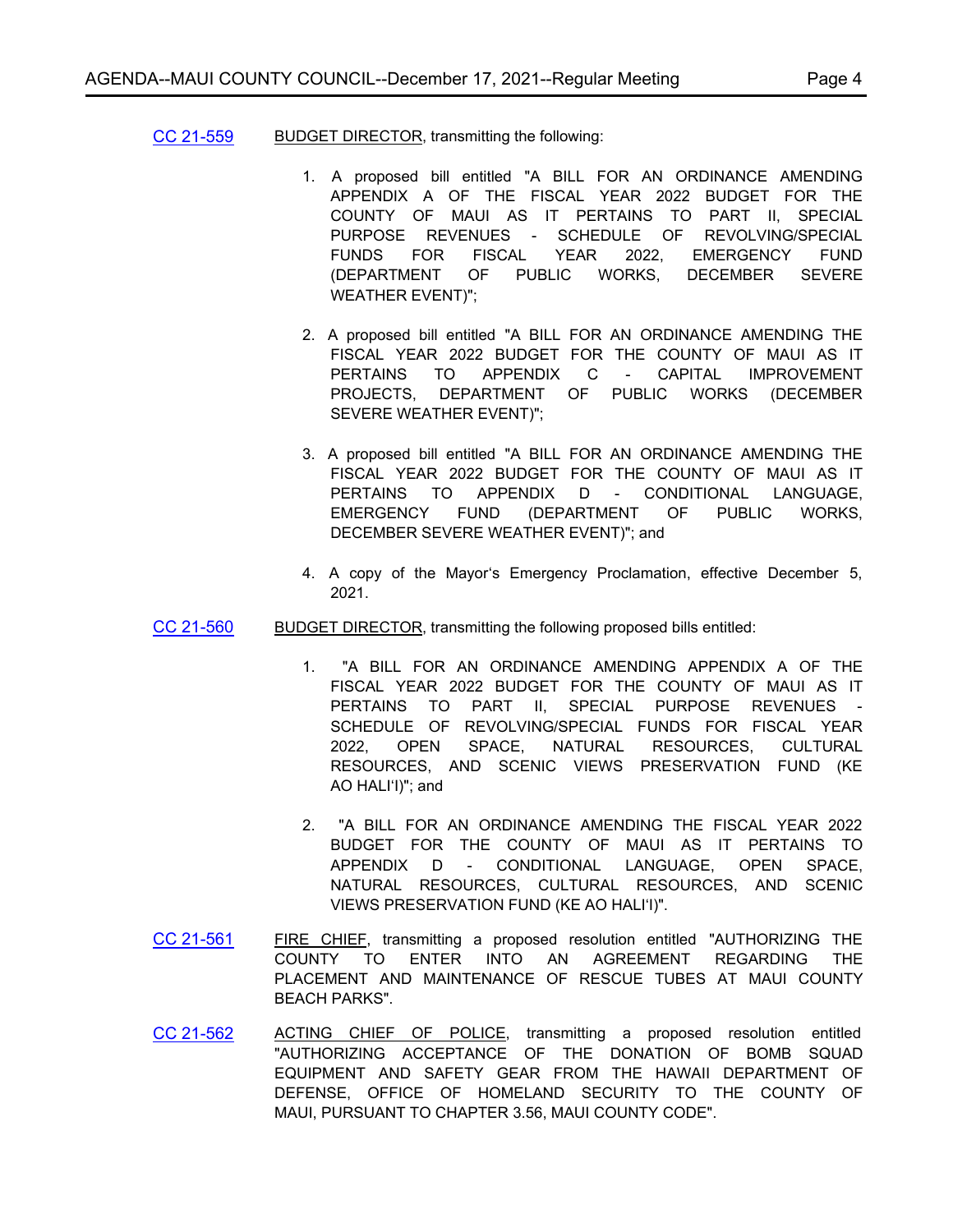- [CC 21-559](http://mauicounty.legistar.com/gateway.aspx?m=l&id=/matter.aspx?key=11737) BUDGET DIRECTOR, transmitting the following:
	- 1. A proposed bill entitled "A BILL FOR AN ORDINANCE AMENDING APPENDIX A OF THE FISCAL YEAR 2022 BUDGET FOR THE COUNTY OF MAUI AS IT PERTAINS TO PART II, SPECIAL PURPOSE REVENUES - SCHEDULE OF REVOLVING/SPECIAL FUNDS FOR FISCAL YEAR 2022, EMERGENCY FUND (DEPARTMENT OF PUBLIC WORKS, DECEMBER SEVERE WEATHER EVENT)";
	- 2. A proposed bill entitled "A BILL FOR AN ORDINANCE AMENDING THE FISCAL YEAR 2022 BUDGET FOR THE COUNTY OF MAUI AS IT PERTAINS TO APPENDIX C - CAPITAL IMPROVEMENT PROJECTS, DEPARTMENT OF PUBLIC WORKS (DECEMBER SEVERE WEATHER EVENT)";
	- 3. A proposed bill entitled "A BILL FOR AN ORDINANCE AMENDING THE FISCAL YEAR 2022 BUDGET FOR THE COUNTY OF MAUI AS IT PERTAINS TO APPENDIX D - CONDITIONAL LANGUAGE, EMERGENCY FUND (DEPARTMENT OF PUBLIC WORKS, DECEMBER SEVERE WEATHER EVENT)"; and
	- 4. A copy of the Mayorʻs Emergency Proclamation, effective December 5, 2021.
- [CC 21-560](http://mauicounty.legistar.com/gateway.aspx?m=l&id=/matter.aspx?key=11742) BUDGET DIRECTOR, transmitting the following proposed bills entitled:
	- 1. "A BILL FOR AN ORDINANCE AMENDING APPENDIX A OF THE FISCAL YEAR 2022 BUDGET FOR THE COUNTY OF MAUI AS IT PERTAINS TO PART II. SPECIAL PURPOSE REVENUES SCHEDULE OF REVOLVING/SPECIAL FUNDS FOR FISCAL YEAR 2022, OPEN SPACE, NATURAL RESOURCES, CULTURAL RESOURCES, AND SCENIC VIEWS PRESERVATION FUND (KE AO HALIʻI)"; and
	- 2. "A BILL FOR AN ORDINANCE AMENDING THE FISCAL YEAR 2022 BUDGET FOR THE COUNTY OF MAUI AS IT PERTAINS TO APPENDIX D - CONDITIONAL LANGUAGE, OPEN SPACE, NATURAL RESOURCES, CULTURAL RESOURCES, AND SCENIC VIEWS PRESERVATION FUND (KE AO HALIʻI)".
- [CC 21-561](http://mauicounty.legistar.com/gateway.aspx?m=l&id=/matter.aspx?key=11732) FIRE CHIEF, transmitting a proposed resolution entitled "AUTHORIZING THE COUNTY TO ENTER INTO AN AGREEMENT REGARDING THE PLACEMENT AND MAINTENANCE OF RESCUE TUBES AT MAUI COUNTY BEACH PARKS".
- [CC 21-562](http://mauicounty.legistar.com/gateway.aspx?m=l&id=/matter.aspx?key=11733) ACTING CHIEF OF POLICE, transmitting a proposed resolution entitled "AUTHORIZING ACCEPTANCE OF THE DONATION OF BOMB SQUAD EQUIPMENT AND SAFETY GEAR FROM THE HAWAII DEPARTMENT OF DEFENSE, OFFICE OF HOMELAND SECURITY TO THE COUNTY OF MAUI, PURSUANT TO CHAPTER 3.56, MAUI COUNTY CODE".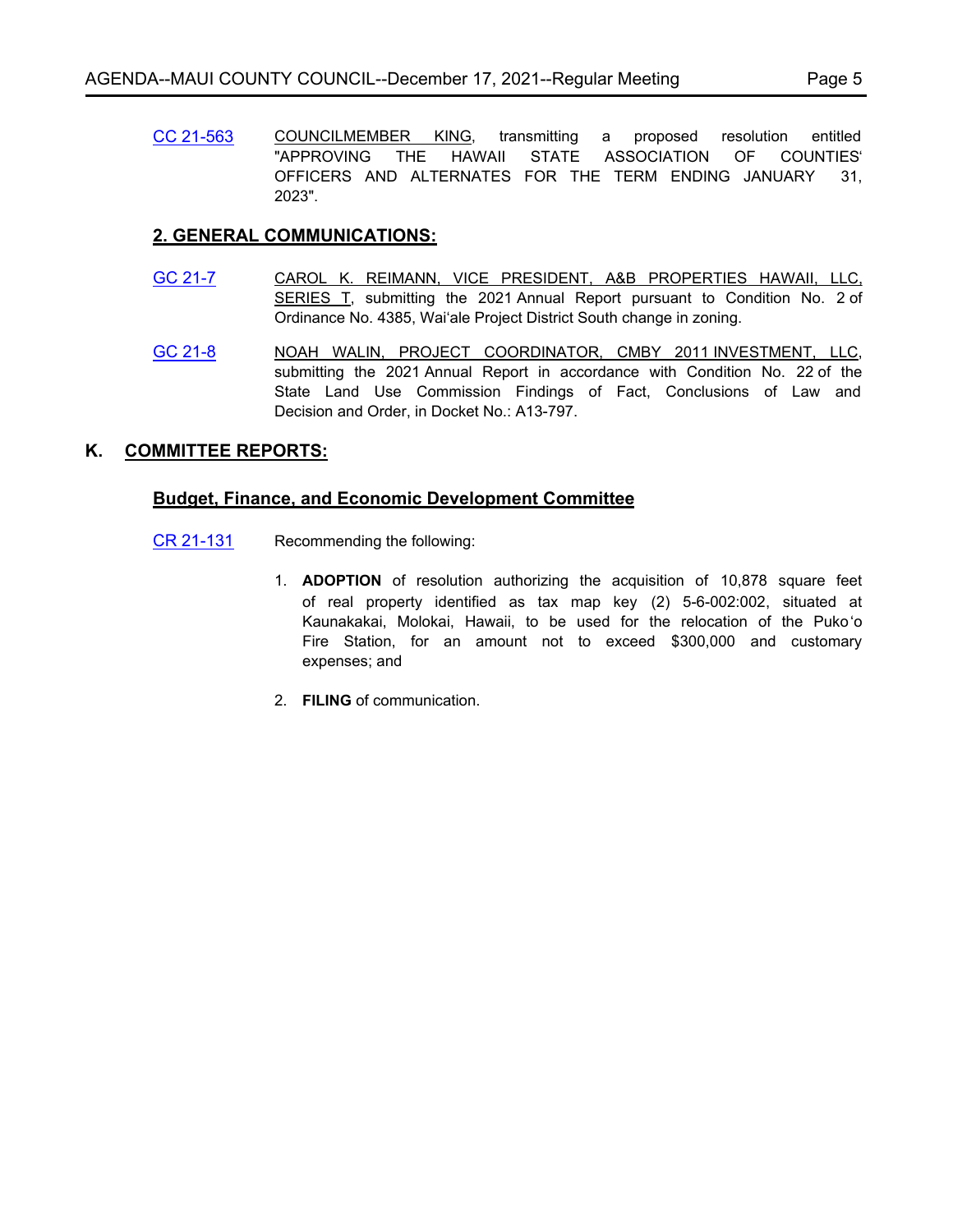[CC 21-563](http://mauicounty.legistar.com/gateway.aspx?m=l&id=/matter.aspx?key=11734) COUNCILMEMBER KING, transmitting a proposed resolution entitled "APPROVING THE HAWAII STATE ASSOCIATION OF COUNTIESʻ OFFICERS AND ALTERNATES FOR THE TERM ENDING JANUARY 31, 2023".

## **2. GENERAL COMMUNICATIONS:**

- [GC 21-7](http://mauicounty.legistar.com/gateway.aspx?m=l&id=/matter.aspx?key=11729) CAROL K. REIMANN, VICE PRESIDENT, A&B PROPERTIES HAWAII, LLC, SERIES T, submitting the 2021 Annual Report pursuant to Condition No. 2 of Ordinance No. 4385, Waiʻale Project District South change in zoning.
- [GC 21-8](http://mauicounty.legistar.com/gateway.aspx?m=l&id=/matter.aspx?key=11730) NOAH WALIN, PROJECT COORDINATOR, CMBY 2011 INVESTMENT, LLC, submitting the 2021 Annual Report in accordance with Condition No. 22 of the State Land Use Commission Findings of Fact, Conclusions of Law and Decision and Order, in Docket No.: A13-797.

### **K. COMMITTEE REPORTS:**

#### **Budget, Finance, and Economic Development Committee**

- [CR 21-131](http://mauicounty.legistar.com/gateway.aspx?m=l&id=/matter.aspx?key=11738) Recommending the following:
	- 1. **ADOPTION** of resolution authorizing the acquisition of 10,878 square feet of real property identified as tax map key (2) 5-6-002:002, situated at Kaunakakai, Molokai, Hawaii, to be used for the relocation of the Puko'o Fire Station, for an amount not to exceed \$300,000 and customary expenses; and
	- 2. **FILING** of communication.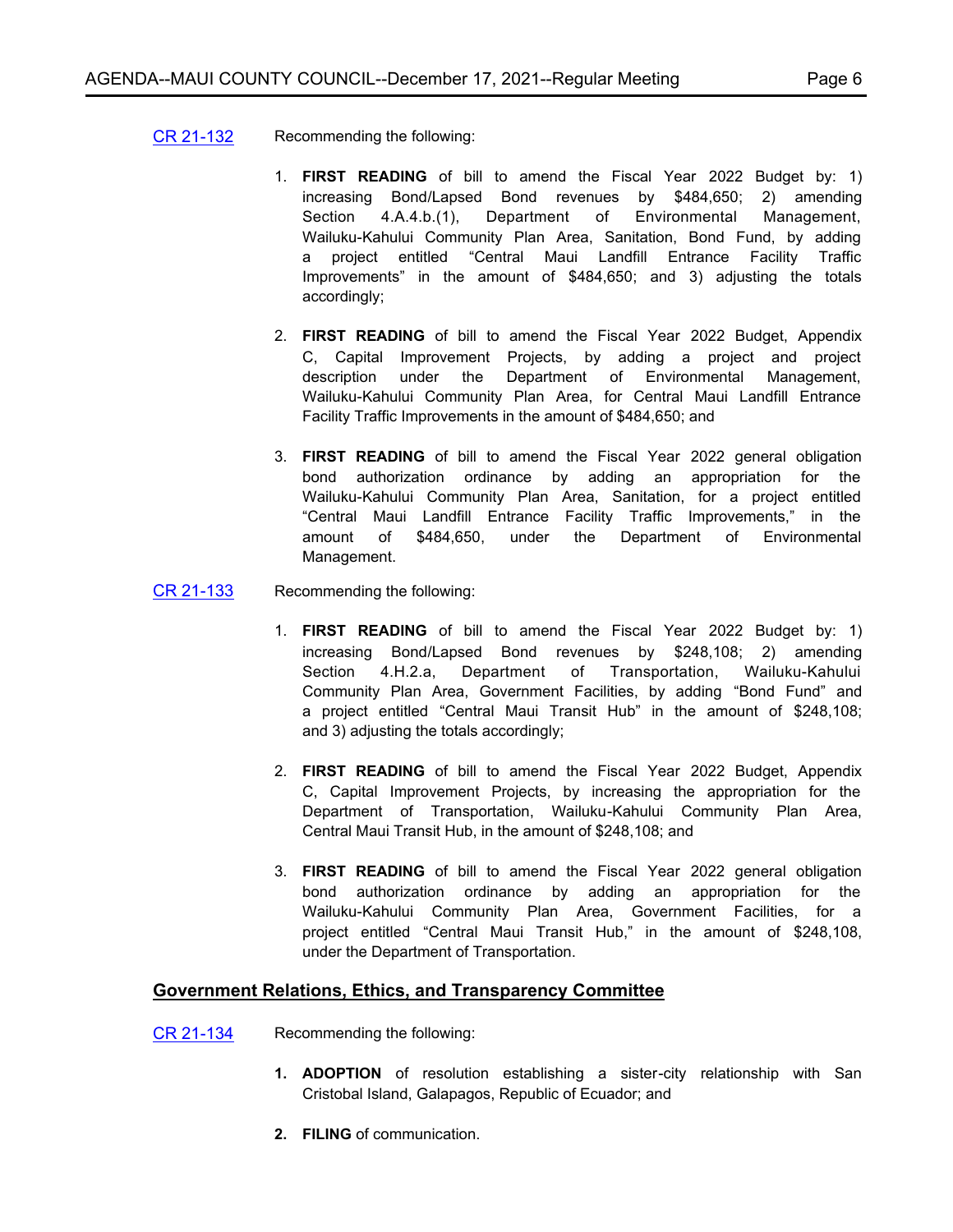- [CR 21-132](http://mauicounty.legistar.com/gateway.aspx?m=l&id=/matter.aspx?key=11739) Recommending the following:
	- 1. **FIRST READING** of bill to amend the Fiscal Year 2022 Budget by: 1) increasing Bond/Lapsed Bond revenues by \$484,650; 2) amending Section 4.A.4.b.(1), Department of Environmental Management, Wailuku-Kahului Community Plan Area, Sanitation, Bond Fund, by adding a project entitled "Central Maui Landfill Entrance Facility Traffic Improvements" in the amount of \$484,650; and 3) adjusting the totals accordingly;
	- 2. **FIRST READING** of bill to amend the Fiscal Year 2022 Budget, Appendix C, Capital Improvement Projects, by adding a project and project description under the Department of Environmental Management, Wailuku-Kahului Community Plan Area, for Central Maui Landfill Entrance Facility Traffic Improvements in the amount of \$484,650; and
	- 3. **FIRST READING** of bill to amend the Fiscal Year 2022 general obligation bond authorization ordinance by adding an appropriation for the Wailuku-Kahului Community Plan Area, Sanitation, for a project entitled "Central Maui Landfill Entrance Facility Traffic Improvements," in the amount of \$484,650, under the Department of Environmental Management.
- [CR 21-133](http://mauicounty.legistar.com/gateway.aspx?m=l&id=/matter.aspx?key=11743) Recommending the following:
	- 1. **FIRST READING** of bill to amend the Fiscal Year 2022 Budget by: 1) increasing Bond/Lapsed Bond revenues by \$248,108; 2) amending Section 4.H.2.a, Department of Transportation, Wailuku-Kahului Community Plan Area, Government Facilities, by adding "Bond Fund" and a project entitled "Central Maui Transit Hub" in the amount of \$248,108; and 3) adjusting the totals accordingly;
	- 2. **FIRST READING** of bill to amend the Fiscal Year 2022 Budget, Appendix C, Capital Improvement Projects, by increasing the appropriation for the Department of Transportation, Wailuku-Kahului Community Plan Area, Central Maui Transit Hub, in the amount of \$248,108; and
	- 3. **FIRST READING** of bill to amend the Fiscal Year 2022 general obligation bond authorization ordinance by adding an appropriation for the Wailuku-Kahului Community Plan Area, Government Facilities, for a project entitled "Central Maui Transit Hub," in the amount of \$248,108, under the Department of Transportation.

#### **Government Relations, Ethics, and Transparency Committee**

- [CR 21-134](http://mauicounty.legistar.com/gateway.aspx?m=l&id=/matter.aspx?key=11726) Recommending the following:
	- **1. ADOPTION** of resolution establishing a sister-city relationship with San Cristobal Island, Galapagos, Republic of Ecuador; and
	- **2. FILING** of communication.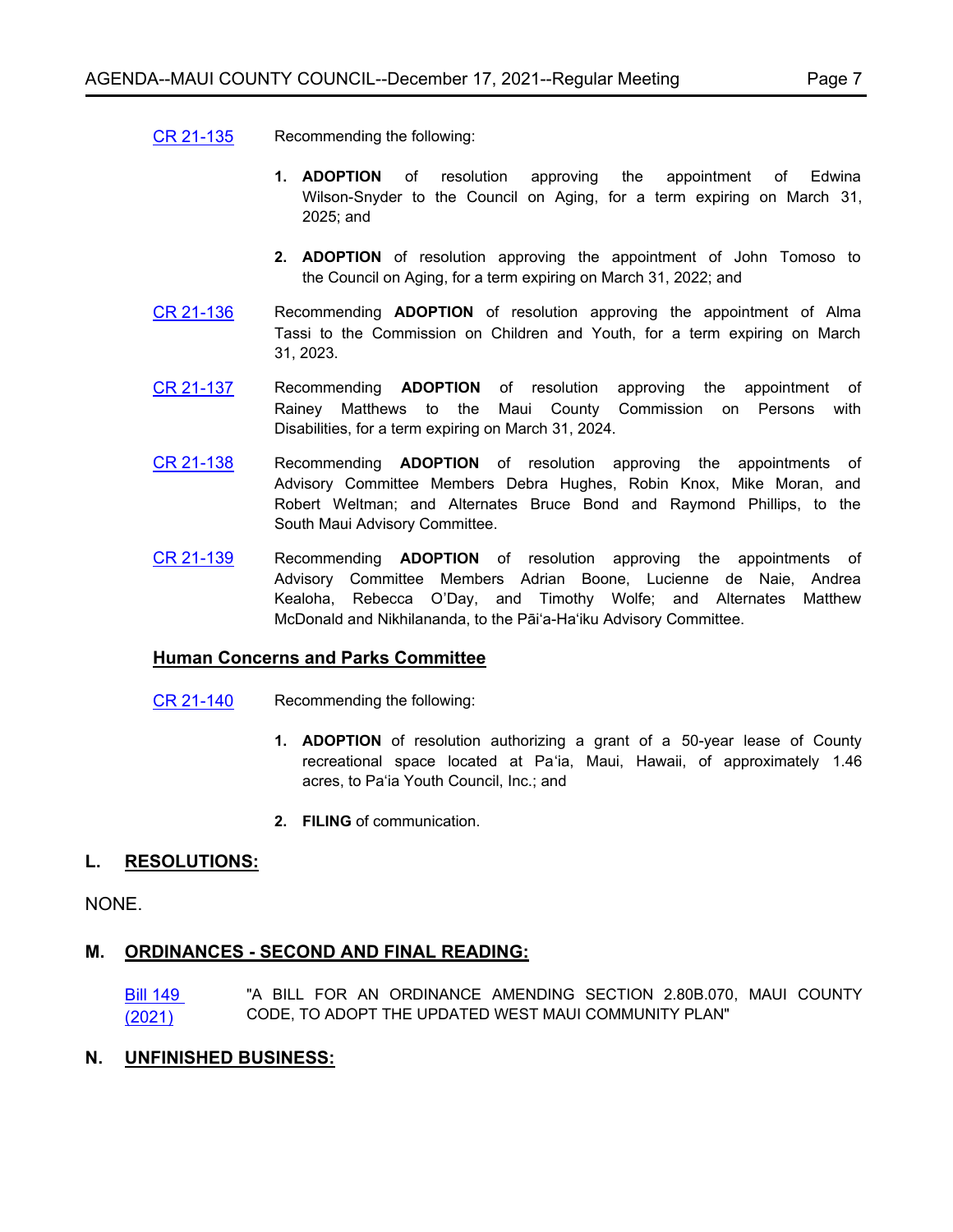#### [CR 21-135](http://mauicounty.legistar.com/gateway.aspx?m=l&id=/matter.aspx?key=11721) Recommending the following:

- **1. ADOPTION** of resolution approving the appointment of Edwina Wilson-Snyder to the Council on Aging, for a term expiring on March 31, 2025; and
- **2. ADOPTION** of resolution approving the appointment of John Tomoso to the Council on Aging, for a term expiring on March 31, 2022; and
- [CR 21-136](http://mauicounty.legistar.com/gateway.aspx?m=l&id=/matter.aspx?key=11722) Recommending **ADOPTION** of resolution approving the appointment of Alma Tassi to the Commission on Children and Youth, for a term expiring on March 31, 2023.
- [CR 21-137](http://mauicounty.legistar.com/gateway.aspx?m=l&id=/matter.aspx?key=11723) Recommending **ADOPTION** of resolution approving the appointment of Rainey Matthews to the Maui County Commission on Persons with Disabilities, for a term expiring on March 31, 2024.
- [CR 21-138](http://mauicounty.legistar.com/gateway.aspx?m=l&id=/matter.aspx?key=11724) Recommending **ADOPTION** of resolution approving the appointments of Advisory Committee Members Debra Hughes, Robin Knox, Mike Moran, and Robert Weltman; and Alternates Bruce Bond and Raymond Phillips, to the South Maui Advisory Committee.
- [CR 21-139](http://mauicounty.legistar.com/gateway.aspx?m=l&id=/matter.aspx?key=11725) Recommending **ADOPTION** of resolution approving the appointments of Advisory Committee Members Adrian Boone, Lucienne de Naie, Andrea Kealoha, Rebecca O'Day, and Timothy Wolfe; and Alternates Matthew McDonald and Nikhilananda, to the Pāi'a-Ha'iku Advisory Committee.

#### **Human Concerns and Parks Committee**

- [CR 21-140](http://mauicounty.legistar.com/gateway.aspx?m=l&id=/matter.aspx?key=11720) Recommending the following:
	- **1. ADOPTION** of resolution authorizing a grant of a 50-year lease of County recreational space located at Pa'ia, Maui, Hawaii, of approximately 1.46 acres, to Pa'ia Youth Council, Inc.; and
	- **2. FILING** of communication.

#### **L. RESOLUTIONS:**

NONE.

#### **M. ORDINANCES - SECOND AND FINAL READING:**

[Bill 149](http://mauicounty.legistar.com/gateway.aspx?m=l&id=/matter.aspx?key=11740)  (2021) "A BILL FOR AN ORDINANCE AMENDING SECTION 2.80B.070, MAUI COUNTY CODE, TO ADOPT THE UPDATED WEST MAUI COMMUNITY PLAN"

#### **N. UNFINISHED BUSINESS:**